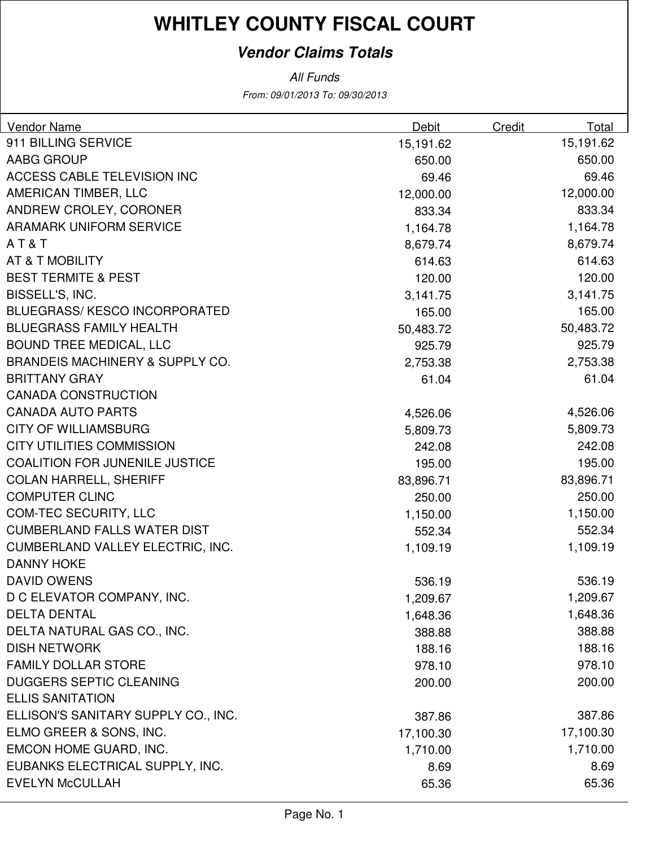### **Vendor Claims Totals**

| Vendor Name                                | <b>Debit</b> | Credit | Total     |
|--------------------------------------------|--------------|--------|-----------|
| 911 BILLING SERVICE                        | 15,191.62    |        | 15,191.62 |
| AABG GROUP                                 | 650.00       |        | 650.00    |
| ACCESS CABLE TELEVISION INC                | 69.46        |        | 69.46     |
| AMERICAN TIMBER, LLC                       | 12,000.00    |        | 12,000.00 |
| ANDREW CROLEY, CORONER                     | 833.34       |        | 833.34    |
| <b>ARAMARK UNIFORM SERVICE</b>             | 1,164.78     |        | 1,164.78  |
| AT&T                                       | 8,679.74     |        | 8,679.74  |
| AT & T MOBILITY                            | 614.63       |        | 614.63    |
| <b>BEST TERMITE &amp; PEST</b>             | 120.00       |        | 120.00    |
| BISSELL'S, INC.                            | 3,141.75     |        | 3,141.75  |
| <b>BLUEGRASS/KESCO INCORPORATED</b>        | 165.00       |        | 165.00    |
| <b>BLUEGRASS FAMILY HEALTH</b>             | 50,483.72    |        | 50,483.72 |
| <b>BOUND TREE MEDICAL, LLC</b>             | 925.79       |        | 925.79    |
| <b>BRANDEIS MACHINERY &amp; SUPPLY CO.</b> | 2,753.38     |        | 2,753.38  |
| <b>BRITTANY GRAY</b>                       | 61.04        |        | 61.04     |
| <b>CANADA CONSTRUCTION</b>                 |              |        |           |
| <b>CANADA AUTO PARTS</b>                   | 4,526.06     |        | 4,526.06  |
| <b>CITY OF WILLIAMSBURG</b>                | 5,809.73     |        | 5,809.73  |
| <b>CITY UTILITIES COMMISSION</b>           | 242.08       |        | 242.08    |
| <b>COALITION FOR JUNENILE JUSTICE</b>      | 195.00       |        | 195.00    |
| <b>COLAN HARRELL, SHERIFF</b>              | 83,896.71    |        | 83,896.71 |
| <b>COMPUTER CLINC</b>                      | 250.00       |        | 250.00    |
| <b>COM-TEC SECURITY, LLC</b>               | 1,150.00     |        | 1,150.00  |
| <b>CUMBERLAND FALLS WATER DIST</b>         | 552.34       |        | 552.34    |
| CUMBERLAND VALLEY ELECTRIC, INC.           | 1,109.19     |        | 1,109.19  |
| <b>DANNY HOKE</b>                          |              |        |           |
| <b>DAVID OWENS</b>                         | 536.19       |        | 536.19    |
| D C ELEVATOR COMPANY, INC.                 | 1,209.67     |        | 1,209.67  |
| <b>DELTA DENTAL</b>                        | 1,648.36     |        | 1,648.36  |
| DELTA NATURAL GAS CO., INC.                | 388.88       |        | 388.88    |
| <b>DISH NETWORK</b>                        | 188.16       |        | 188.16    |
| <b>FAMILY DOLLAR STORE</b>                 | 978.10       |        | 978.10    |
| <b>DUGGERS SEPTIC CLEANING</b>             | 200.00       |        | 200.00    |
| <b>ELLIS SANITATION</b>                    |              |        |           |
| ELLISON'S SANITARY SUPPLY CO., INC.        | 387.86       |        | 387.86    |
| ELMO GREER & SONS, INC.                    | 17,100.30    |        | 17,100.30 |
| EMCON HOME GUARD, INC.                     | 1,710.00     |        | 1,710.00  |
| EUBANKS ELECTRICAL SUPPLY, INC.            | 8.69         |        | 8.69      |
| <b>EVELYN McCULLAH</b>                     | 65.36        |        | 65.36     |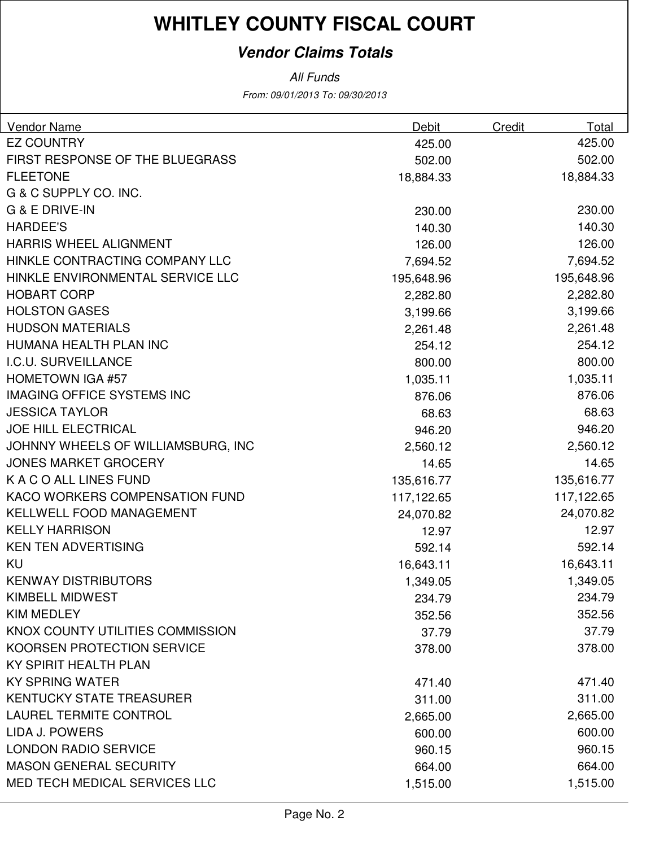### **Vendor Claims Totals**

| <b>Vendor Name</b>                 | Debit      | Credit | Total      |
|------------------------------------|------------|--------|------------|
| <b>EZ COUNTRY</b>                  | 425.00     |        | 425.00     |
| FIRST RESPONSE OF THE BLUEGRASS    | 502.00     |        | 502.00     |
| <b>FLEETONE</b>                    | 18,884.33  |        | 18,884.33  |
| G & C SUPPLY CO. INC.              |            |        |            |
| <b>G &amp; E DRIVE-IN</b>          | 230.00     |        | 230.00     |
| <b>HARDEE'S</b>                    | 140.30     |        | 140.30     |
| <b>HARRIS WHEEL ALIGNMENT</b>      | 126.00     |        | 126.00     |
| HINKLE CONTRACTING COMPANY LLC     | 7,694.52   |        | 7,694.52   |
| HINKLE ENVIRONMENTAL SERVICE LLC   | 195,648.96 |        | 195,648.96 |
| <b>HOBART CORP</b>                 | 2,282.80   |        | 2,282.80   |
| <b>HOLSTON GASES</b>               | 3,199.66   |        | 3,199.66   |
| <b>HUDSON MATERIALS</b>            | 2,261.48   |        | 2,261.48   |
| HUMANA HEALTH PLAN INC             | 254.12     |        | 254.12     |
| I.C.U. SURVEILLANCE                | 800.00     |        | 800.00     |
| <b>HOMETOWN IGA #57</b>            | 1,035.11   |        | 1,035.11   |
| <b>IMAGING OFFICE SYSTEMS INC</b>  | 876.06     |        | 876.06     |
| <b>JESSICA TAYLOR</b>              | 68.63      |        | 68.63      |
| <b>JOE HILL ELECTRICAL</b>         | 946.20     |        | 946.20     |
| JOHNNY WHEELS OF WILLIAMSBURG, INC | 2,560.12   |        | 2,560.12   |
| <b>JONES MARKET GROCERY</b>        | 14.65      |        | 14.65      |
| K A C O ALL LINES FUND             | 135,616.77 |        | 135,616.77 |
| KACO WORKERS COMPENSATION FUND     | 117,122.65 |        | 117,122.65 |
| <b>KELLWELL FOOD MANAGEMENT</b>    | 24,070.82  |        | 24,070.82  |
| <b>KELLY HARRISON</b>              | 12.97      |        | 12.97      |
| <b>KEN TEN ADVERTISING</b>         | 592.14     |        | 592.14     |
| KU                                 | 16,643.11  |        | 16,643.11  |
| <b>KENWAY DISTRIBUTORS</b>         | 1,349.05   |        | 1,349.05   |
| <b>KIMBELL MIDWEST</b>             | 234.79     |        | 234.79     |
| <b>KIM MEDLEY</b>                  | 352.56     |        | 352.56     |
| KNOX COUNTY UTILITIES COMMISSION   | 37.79      |        | 37.79      |
| KOORSEN PROTECTION SERVICE         | 378.00     |        | 378.00     |
| KY SPIRIT HEALTH PLAN              |            |        |            |
| <b>KY SPRING WATER</b>             | 471.40     |        | 471.40     |
| <b>KENTUCKY STATE TREASURER</b>    | 311.00     |        | 311.00     |
| <b>LAUREL TERMITE CONTROL</b>      | 2,665.00   |        | 2,665.00   |
| <b>LIDA J. POWERS</b>              | 600.00     |        | 600.00     |
| <b>LONDON RADIO SERVICE</b>        | 960.15     |        | 960.15     |
| <b>MASON GENERAL SECURITY</b>      | 664.00     |        | 664.00     |
| MED TECH MEDICAL SERVICES LLC      | 1,515.00   |        | 1,515.00   |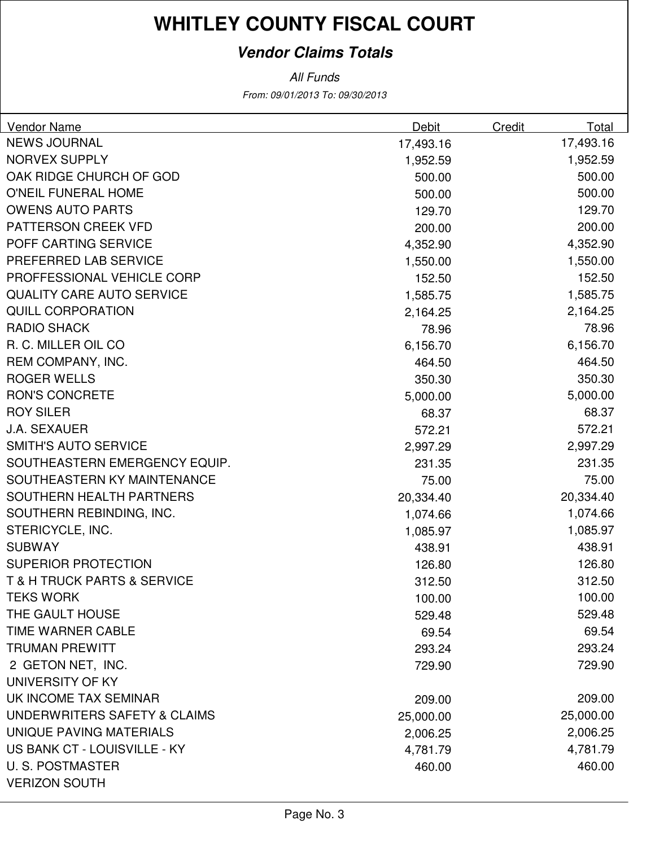## **Vendor Claims Totals**

| <b>Vendor Name</b>                         | Debit     | Credit | Total     |
|--------------------------------------------|-----------|--------|-----------|
| <b>NEWS JOURNAL</b>                        | 17,493.16 |        | 17,493.16 |
| <b>NORVEX SUPPLY</b>                       | 1,952.59  |        | 1,952.59  |
| OAK RIDGE CHURCH OF GOD                    | 500.00    |        | 500.00    |
| O'NEIL FUNERAL HOME                        | 500.00    |        | 500.00    |
| <b>OWENS AUTO PARTS</b>                    | 129.70    |        | 129.70    |
| PATTERSON CREEK VFD                        | 200.00    |        | 200.00    |
| POFF CARTING SERVICE                       | 4,352.90  |        | 4,352.90  |
| PREFERRED LAB SERVICE                      | 1,550.00  |        | 1,550.00  |
| PROFFESSIONAL VEHICLE CORP                 | 152.50    |        | 152.50    |
| <b>QUALITY CARE AUTO SERVICE</b>           | 1,585.75  |        | 1,585.75  |
| <b>QUILL CORPORATION</b>                   | 2,164.25  |        | 2,164.25  |
| <b>RADIO SHACK</b>                         | 78.96     |        | 78.96     |
| R. C. MILLER OIL CO                        | 6,156.70  |        | 6,156.70  |
| REM COMPANY, INC.                          | 464.50    |        | 464.50    |
| <b>ROGER WELLS</b>                         | 350.30    |        | 350.30    |
| <b>RON'S CONCRETE</b>                      | 5,000.00  |        | 5,000.00  |
| <b>ROY SILER</b>                           | 68.37     |        | 68.37     |
| <b>J.A. SEXAUER</b>                        | 572.21    |        | 572.21    |
| <b>SMITH'S AUTO SERVICE</b>                | 2,997.29  |        | 2,997.29  |
| SOUTHEASTERN EMERGENCY EQUIP.              | 231.35    |        | 231.35    |
| SOUTHEASTERN KY MAINTENANCE                | 75.00     |        | 75.00     |
| SOUTHERN HEALTH PARTNERS                   | 20,334.40 |        | 20,334.40 |
| SOUTHERN REBINDING, INC.                   | 1,074.66  |        | 1,074.66  |
| STERICYCLE, INC.                           | 1,085.97  |        | 1,085.97  |
| <b>SUBWAY</b>                              | 438.91    |        | 438.91    |
| <b>SUPERIOR PROTECTION</b>                 | 126.80    |        | 126.80    |
| <b>T &amp; H TRUCK PARTS &amp; SERVICE</b> | 312.50    |        | 312.50    |
| TEKS WORK                                  | 100.00    |        | 100.00    |
| THE GAULT HOUSE                            | 529.48    |        | 529.48    |
| TIME WARNER CABLE                          | 69.54     |        | 69.54     |
| <b>TRUMAN PREWITT</b>                      | 293.24    |        | 293.24    |
| 2 GETON NET, INC.                          | 729.90    |        | 729.90    |
| UNIVERSITY OF KY                           |           |        |           |
| UK INCOME TAX SEMINAR                      | 209.00    |        | 209.00    |
| UNDERWRITERS SAFETY & CLAIMS               | 25,000.00 |        | 25,000.00 |
| UNIQUE PAVING MATERIALS                    | 2,006.25  |        | 2,006.25  |
| US BANK CT - LOUISVILLE - KY               | 4,781.79  |        | 4,781.79  |
| <b>U.S. POSTMASTER</b>                     | 460.00    |        | 460.00    |
| <b>VERIZON SOUTH</b>                       |           |        |           |